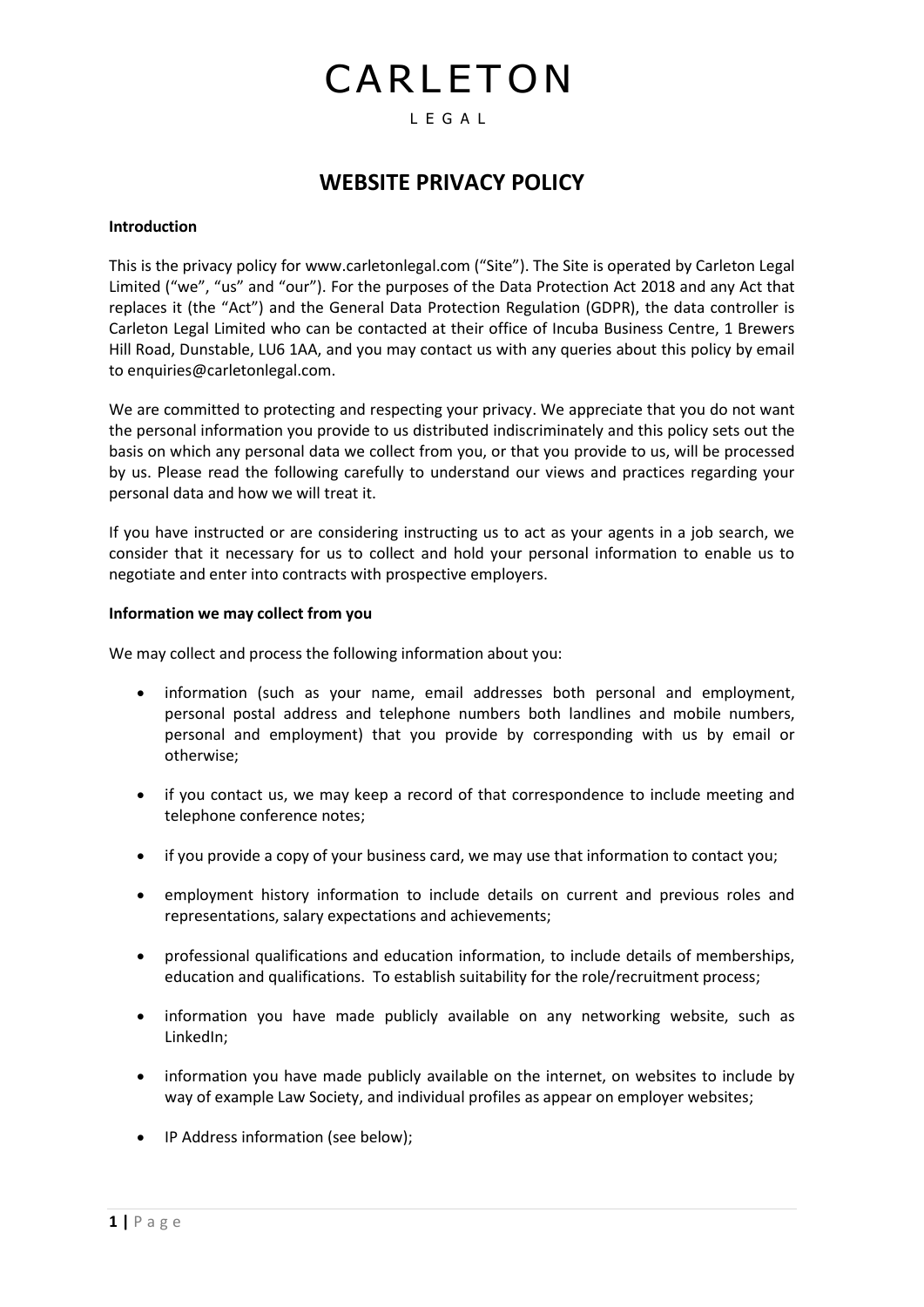# CARLETON

#### L E G A L

### **WEBSITE PRIVACY POLICY**

#### **Introduction**

This is the privacy policy fo[r www.carletonlegal.com](http://www.carletonlegal.com/) ("Site"). The Site is operated by Carleton Legal Limited ("we", "us" and "our"). For the purposes of the Data Protection Act 2018 and any Act that replaces it (the "Act") and the General Data Protection Regulation (GDPR), the data controller is Carleton Legal Limited who can be contacted at their office of Incuba Business Centre, 1 Brewers Hill Road, Dunstable, LU6 1AA, and you may contact us with any queries about this policy by email to enquiries@carletonlegal.com.

We are committed to protecting and respecting your privacy. We appreciate that you do not want the personal information you provide to us distributed indiscriminately and this policy sets out the basis on which any personal data we collect from you, or that you provide to us, will be processed by us. Please read the following carefully to understand our views and practices regarding your personal data and how we will treat it.

If you have instructed or are considering instructing us to act as your agents in a job search, we consider that it necessary for us to collect and hold your personal information to enable us to negotiate and enter into contracts with prospective employers.

#### **Information we may collect from you**

We may collect and process the following information about you:

- information (such as your name, email addresses both personal and employment, personal postal address and telephone numbers both landlines and mobile numbers, personal and employment) that you provide by corresponding with us by email or otherwise;
- if you contact us, we may keep a record of that correspondence to include meeting and telephone conference notes;
- if you provide a copy of your business card, we may use that information to contact you;
- employment history information to include details on current and previous roles and representations, salary expectations and achievements;
- professional qualifications and education information, to include details of memberships, education and qualifications. To establish suitability for the role/recruitment process;
- information you have made publicly available on any networking website, such as LinkedIn;
- information you have made publicly available on the internet, on websites to include by way of example Law Society, and individual profiles as appear on employer websites;
- IP Address information (see below);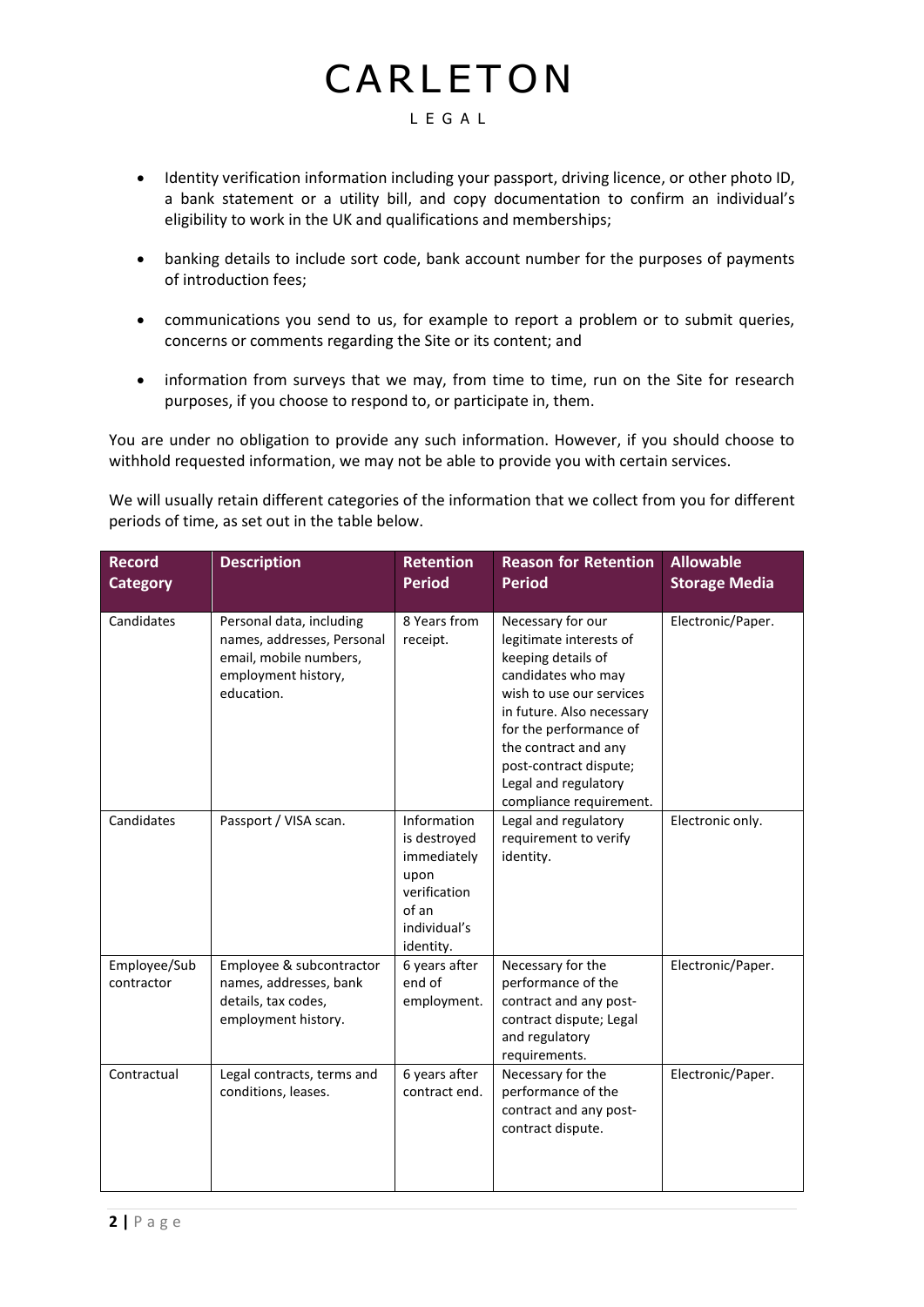# CARLETON

#### L E G A L

- Identity verification information including your passport, driving licence, or other photo ID, a bank statement or a utility bill, and copy documentation to confirm an individual's eligibility to work in the UK and qualifications and memberships;
- banking details to include sort code, bank account number for the purposes of payments of introduction fees;
- communications you send to us, for example to report a problem or to submit queries, concerns or comments regarding the Site or its content; and
- information from surveys that we may, from time to time, run on the Site for research purposes, if you choose to respond to, or participate in, them.

You are under no obligation to provide any such information. However, if you should choose to withhold requested information, we may not be able to provide you with certain services.

We will usually retain different categories of the information that we collect from you for different periods of time, as set out in the table below.

| <b>Record</b><br><b>Category</b> | <b>Description</b>                                                                                                    | <b>Retention</b><br><b>Period</b>                                                                        | <b>Reason for Retention</b><br><b>Period</b>                                                                                                                                                                                                                                     | <b>Allowable</b><br><b>Storage Media</b> |
|----------------------------------|-----------------------------------------------------------------------------------------------------------------------|----------------------------------------------------------------------------------------------------------|----------------------------------------------------------------------------------------------------------------------------------------------------------------------------------------------------------------------------------------------------------------------------------|------------------------------------------|
| Candidates                       | Personal data, including<br>names, addresses, Personal<br>email, mobile numbers,<br>employment history,<br>education. | 8 Years from<br>receipt.                                                                                 | Necessary for our<br>legitimate interests of<br>keeping details of<br>candidates who may<br>wish to use our services<br>in future. Also necessary<br>for the performance of<br>the contract and any<br>post-contract dispute;<br>Legal and regulatory<br>compliance requirement. | Electronic/Paper.                        |
| Candidates                       | Passport / VISA scan.                                                                                                 | Information<br>is destroyed<br>immediately<br>upon<br>verification<br>of an<br>individual's<br>identity. | Legal and regulatory<br>requirement to verify<br>identity.                                                                                                                                                                                                                       | Electronic only.                         |
| Employee/Sub<br>contractor       | Employee & subcontractor<br>names, addresses, bank<br>details, tax codes,<br>employment history.                      | 6 years after<br>end of<br>employment.                                                                   | Necessary for the<br>performance of the<br>contract and any post-<br>contract dispute; Legal<br>and regulatory<br>requirements.                                                                                                                                                  | Electronic/Paper.                        |
| Contractual                      | Legal contracts, terms and<br>conditions, leases.                                                                     | 6 years after<br>contract end.                                                                           | Necessary for the<br>performance of the<br>contract and any post-<br>contract dispute.                                                                                                                                                                                           | Electronic/Paper.                        |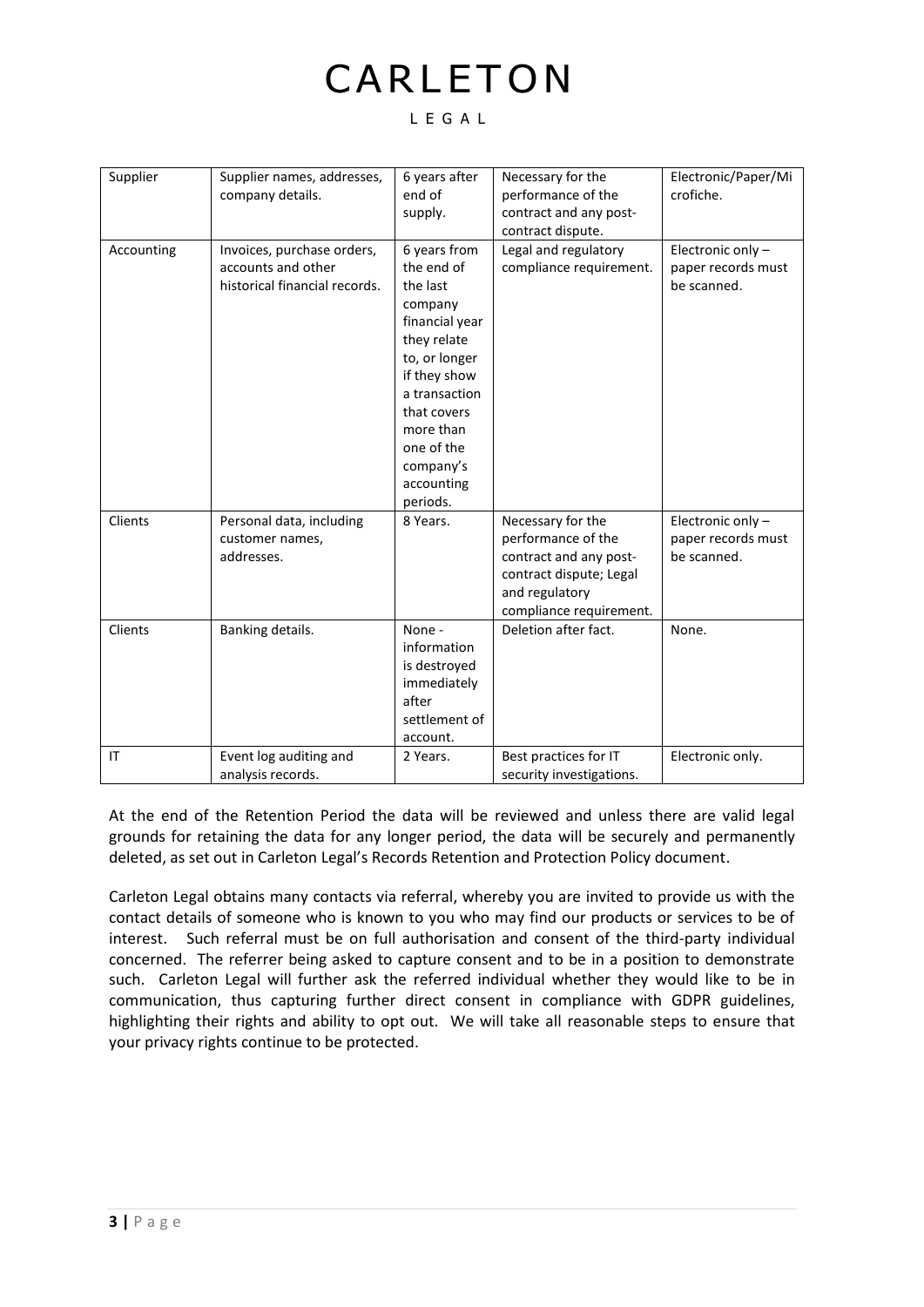## CARLETON

#### L E G A L

| Supplier   | Supplier names, addresses,<br>company details.                                    | 6 years after<br>end of<br>supply.                                                                                                                                                                                    | Necessary for the<br>performance of the<br>contract and any post-<br>contract dispute.                                                    | Electronic/Paper/Mi<br>crofiche.                      |
|------------|-----------------------------------------------------------------------------------|-----------------------------------------------------------------------------------------------------------------------------------------------------------------------------------------------------------------------|-------------------------------------------------------------------------------------------------------------------------------------------|-------------------------------------------------------|
| Accounting | Invoices, purchase orders,<br>accounts and other<br>historical financial records. | 6 years from<br>the end of<br>the last<br>company<br>financial year<br>they relate<br>to, or longer<br>if they show<br>a transaction<br>that covers<br>more than<br>one of the<br>company's<br>accounting<br>periods. | Legal and regulatory<br>compliance requirement.                                                                                           | Electronic only-<br>paper records must<br>be scanned. |
| Clients    | Personal data, including<br>customer names,<br>addresses.                         | 8 Years.                                                                                                                                                                                                              | Necessary for the<br>performance of the<br>contract and any post-<br>contract dispute; Legal<br>and regulatory<br>compliance requirement. | Electronic only-<br>paper records must<br>be scanned. |
| Clients    | Banking details.                                                                  | None -<br>information<br>is destroyed<br>immediately<br>after<br>settlement of<br>account.                                                                                                                            | Deletion after fact.                                                                                                                      | None.                                                 |
| IT         | Event log auditing and<br>analysis records.                                       | 2 Years.                                                                                                                                                                                                              | Best practices for IT<br>security investigations.                                                                                         | Electronic only.                                      |

At the end of the Retention Period the data will be reviewed and unless there are valid legal grounds for retaining the data for any longer period, the data will be securely and permanently deleted, as set out in Carleton Legal's Records Retention and Protection Policy document.

Carleton Legal obtains many contacts via referral, whereby you are invited to provide us with the contact details of someone who is known to you who may find our products or services to be of interest. Such referral must be on full authorisation and consent of the third-party individual concerned. The referrer being asked to capture consent and to be in a position to demonstrate such. Carleton Legal will further ask the referred individual whether they would like to be in communication, thus capturing further direct consent in compliance with GDPR guidelines, highlighting their rights and ability to opt out. We will take all reasonable steps to ensure that your privacy rights continue to be protected.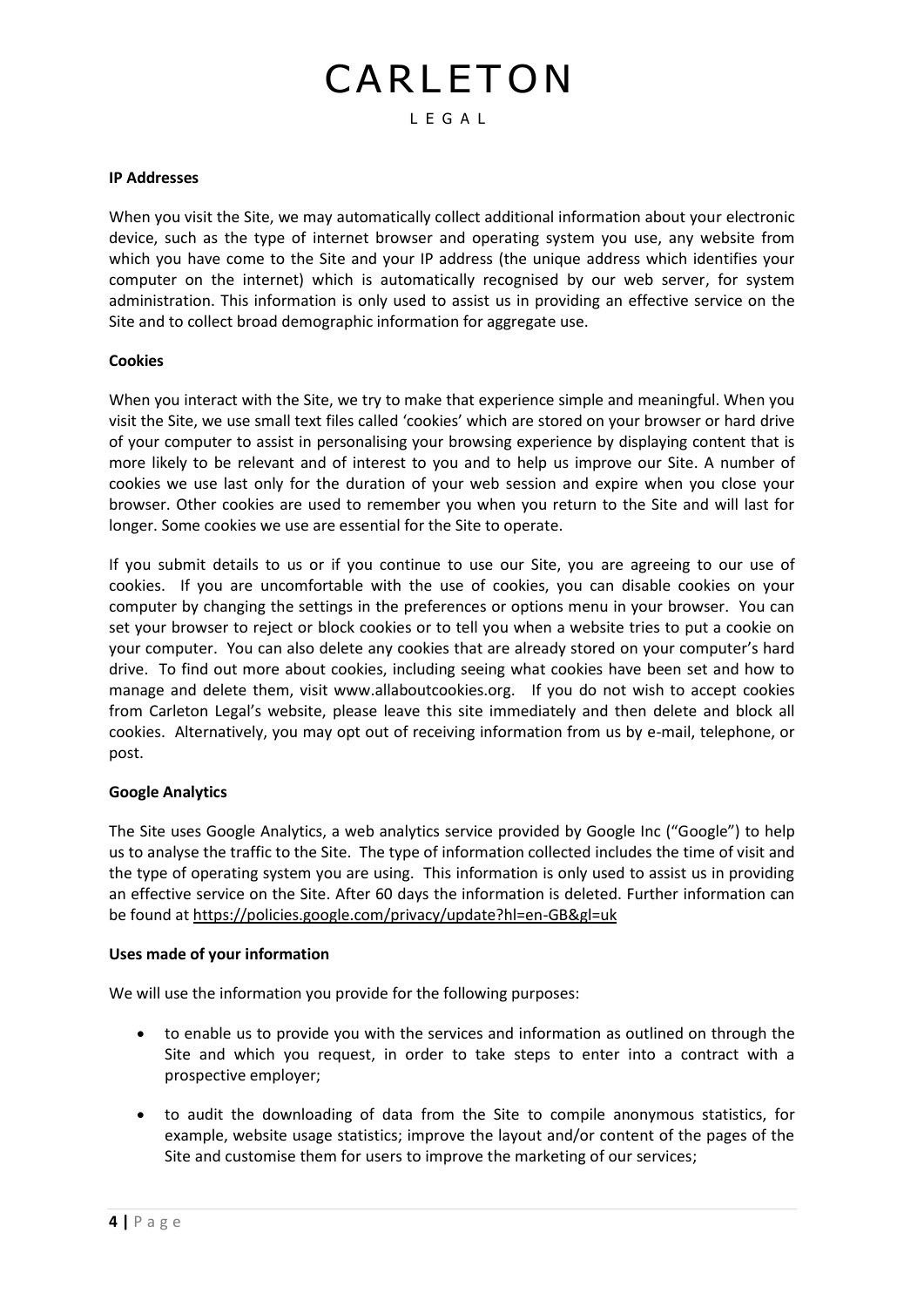#### **IP Addresses**

When you visit the Site, we may automatically collect additional information about your electronic device, such as the type of internet browser and operating system you use, any website from which you have come to the Site and your IP address (the unique address which identifies your computer on the internet) which is automatically recognised by our web server, for system administration. This information is only used to assist us in providing an effective service on the Site and to collect broad demographic information for aggregate use.

#### **Cookies**

When you interact with the Site, we try to make that experience simple and meaningful. When you visit the Site, we use small text files called 'cookies' which are stored on your browser or hard drive of your computer to assist in personalising your browsing experience by displaying content that is more likely to be relevant and of interest to you and to help us improve our Site. A number of cookies we use last only for the duration of your web session and expire when you close your browser. Other cookies are used to remember you when you return to the Site and will last for longer. Some cookies we use are essential for the Site to operate.

If you submit details to us or if you continue to use our Site, you are agreeing to our use of cookies. If you are uncomfortable with the use of cookies, you can disable cookies on your computer by changing the settings in the preferences or options menu in your browser. You can set your browser to reject or block cookies or to tell you when a website tries to put a cookie on your computer. You can also delete any cookies that are already stored on your computer's hard drive. To find out more about cookies, including seeing what cookies have been set and how to manage and delete them, visit www.allaboutcookies.org. If you do not wish to accept cookies from Carleton Legal's website, please leave this site immediately and then delete and block all cookies. Alternatively, you may opt out of receiving information from us by e-mail, telephone, or post.

#### **Google Analytics**

The Site uses Google Analytics, a web analytics service provided by Google Inc ("Google") to help us to analyse the traffic to the Site. The type of information collected includes the time of visit and the type of operating system you are using. This information is only used to assist us in providing an effective service on the Site. After 60 days the information is deleted. Further information can be found a[t https://policies.google.com/privacy/update?hl=en-GB&gl=uk](https://policies.google.com/privacy/update?hl=en-GB&gl=uk)

#### **Uses made of your information**

We will use the information you provide for the following purposes:

- to enable us to provide you with the services and information as outlined on through the Site and which you request, in order to take steps to enter into a contract with a prospective employer;
- to audit the downloading of data from the Site to compile anonymous statistics, for example, website usage statistics; improve the layout and/or content of the pages of the Site and customise them for users to improve the marketing of our services;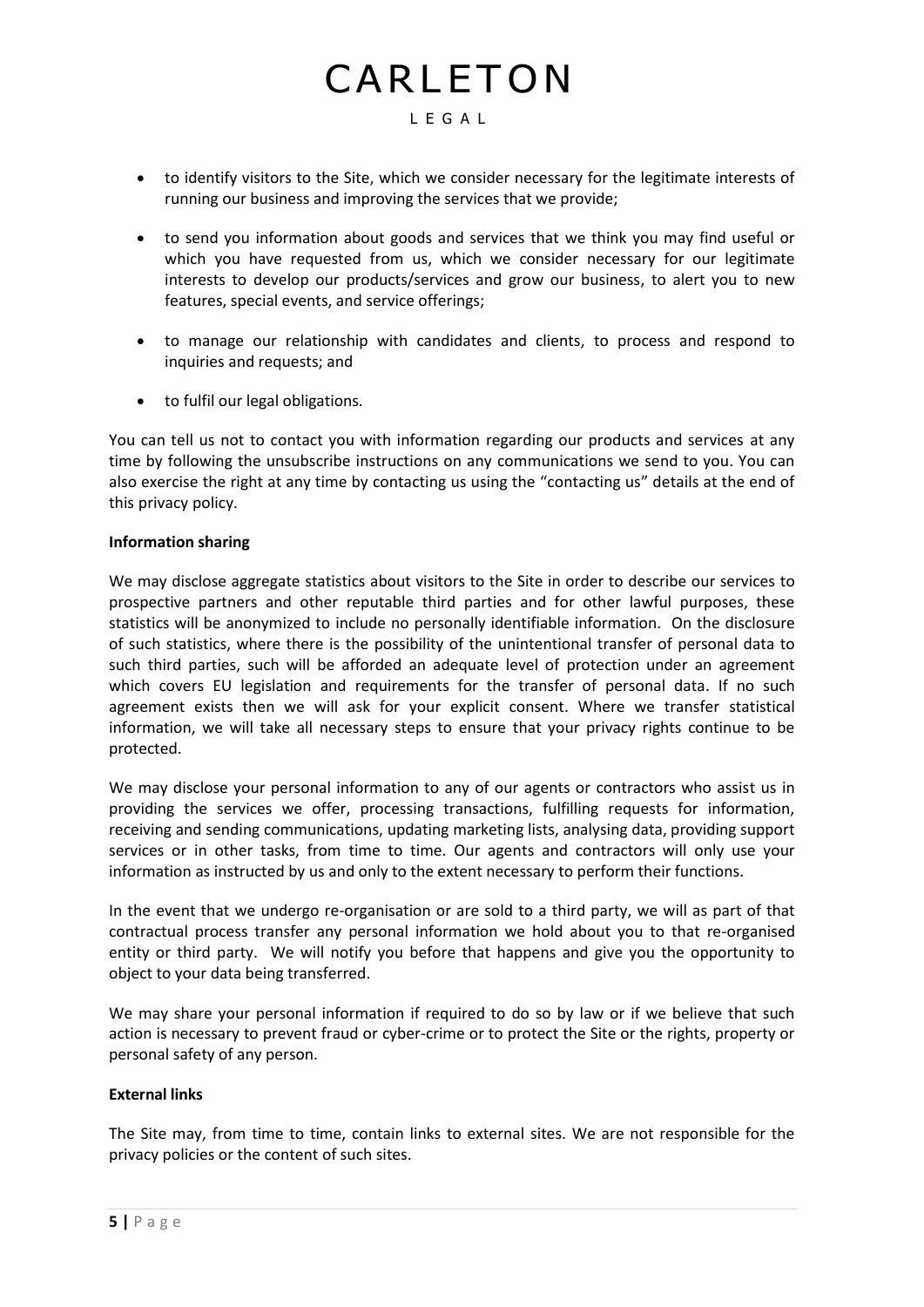- to identify visitors to the Site, which we consider necessary for the legitimate interests of running our business and improving the services that we provide;
- to send you information about goods and services that we think you may find useful or which you have requested from us, which we consider necessary for our legitimate interests to develop our products/services and grow our business, to alert you to new features, special events, and service offerings;
- to manage our relationship with candidates and clients, to process and respond to inquiries and requests; and
- to fulfil our legal obligations.

You can tell us not to contact you with information regarding our products and services at any time by following the unsubscribe instructions on any communications we send to you. You can also exercise the right at any time by contacting us using the "contacting us" details at the end of this privacy policy.

#### **Information sharing**

We may disclose aggregate statistics about visitors to the Site in order to describe our services to prospective partners and other reputable third parties and for other lawful purposes, these statistics will be anonymized to include no personally identifiable information. On the disclosure of such statistics, where there is the possibility of the unintentional transfer of personal data to such third parties, such will be afforded an adequate level of protection under an agreement which covers EU legislation and requirements for the transfer of personal data. If no such agreement exists then we will ask for your explicit consent. Where we transfer statistical information, we will take all necessary steps to ensure that your privacy rights continue to be protected.

We may disclose your personal information to any of our agents or contractors who assist us in providing the services we offer, processing transactions, fulfilling requests for information, receiving and sending communications, updating marketing lists, analysing data, providing support services or in other tasks, from time to time. Our agents and contractors will only use your information as instructed by us and only to the extent necessary to perform their functions.

In the event that we undergo re-organisation or are sold to a third party, we will as part of that contractual process transfer any personal information we hold about you to that re-organised entity or third party. We will notify you before that happens and give you the opportunity to object to your data being transferred.

We may share your personal information if required to do so by law or if we believe that such action is necessary to prevent fraud or cyber-crime or to protect the Site or the rights, property or personal safety of any person.

#### **External links**

The Site may, from time to time, contain links to external sites. We are not responsible for the privacy policies or the content of such sites.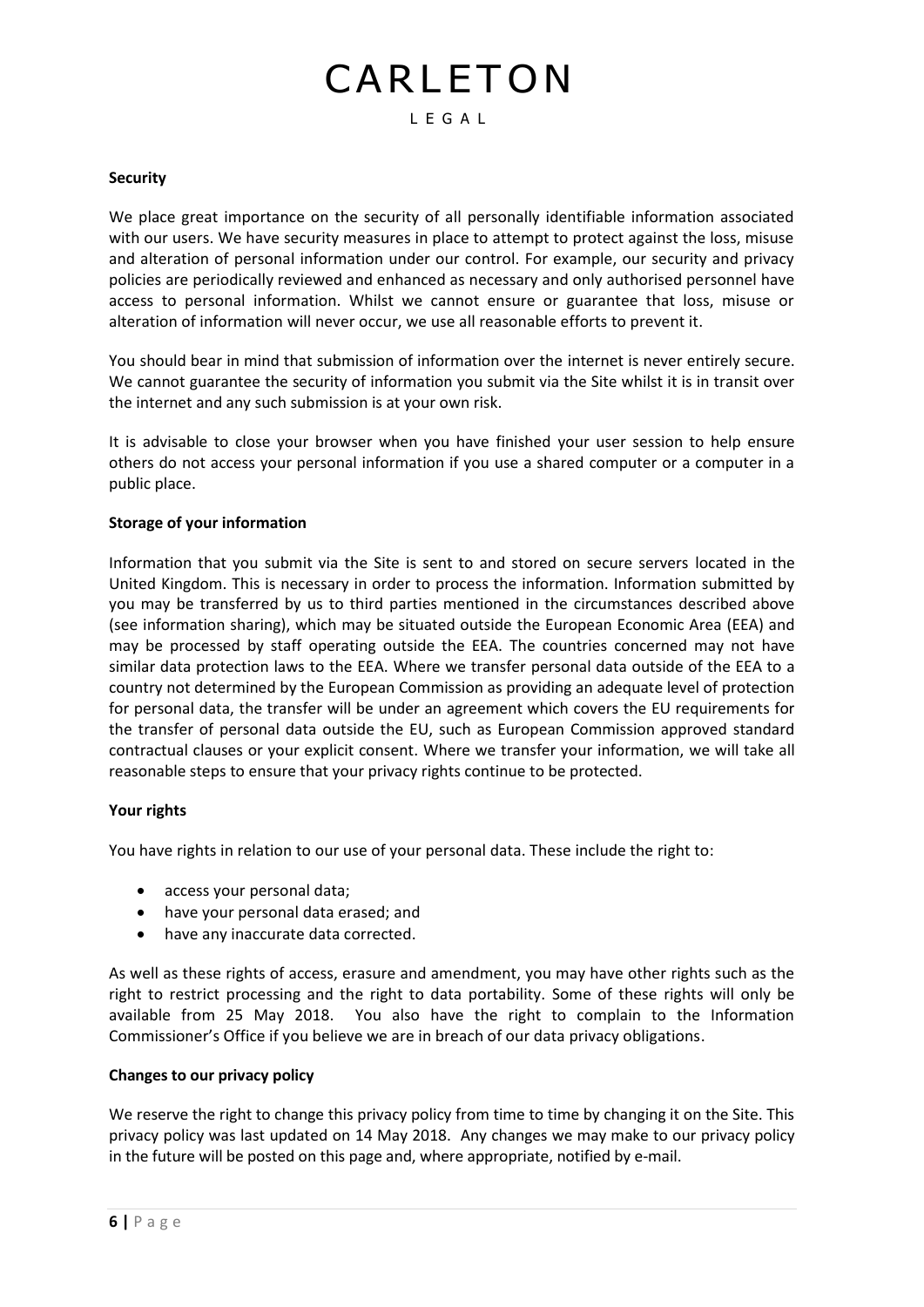#### **Security**

We place great importance on the security of all personally identifiable information associated with our users. We have security measures in place to attempt to protect against the loss, misuse and alteration of personal information under our control. For example, our security and privacy policies are periodically reviewed and enhanced as necessary and only authorised personnel have access to personal information. Whilst we cannot ensure or guarantee that loss, misuse or alteration of information will never occur, we use all reasonable efforts to prevent it.

You should bear in mind that submission of information over the internet is never entirely secure. We cannot guarantee the security of information you submit via the Site whilst it is in transit over the internet and any such submission is at your own risk.

It is advisable to close your browser when you have finished your user session to help ensure others do not access your personal information if you use a shared computer or a computer in a public place.

#### **Storage of your information**

Information that you submit via the Site is sent to and stored on secure servers located in the United Kingdom. This is necessary in order to process the information. Information submitted by you may be transferred by us to third parties mentioned in the circumstances described above (see information sharing), which may be situated outside the European Economic Area (EEA) and may be processed by staff operating outside the EEA. The countries concerned may not have similar data protection laws to the EEA. Where we transfer personal data outside of the EEA to a country not determined by the European Commission as providing an adequate level of protection for personal data, the transfer will be under an agreement which covers the EU requirements for the transfer of personal data outside the EU, such as European Commission approved standard contractual clauses or your explicit consent. Where we transfer your information, we will take all reasonable steps to ensure that your privacy rights continue to be protected.

#### **Your rights**

You have rights in relation to our use of your personal data. These include the right to:

- access your personal data;
- have your personal data erased; and
- have any inaccurate data corrected.

As well as these rights of access, erasure and amendment, you may have other rights such as the right to restrict processing and the right to data portability. Some of these rights will only be available from 25 May 2018. You also have the right to complain to the Information Commissioner's Office if you believe we are in breach of our data privacy obligations.

#### **Changes to our privacy policy**

We reserve the right to change this privacy policy from time to time by changing it on the Site. This privacy policy was last updated on 14 May 2018. Any changes we may make to our privacy policy in the future will be posted on this page and, where appropriate, notified by e-mail.